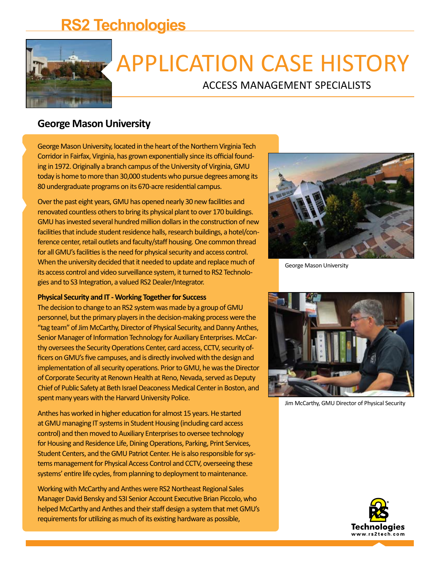## **RS2 Technologies**



# APPLICATION CASE HISTORY

ACCESS MANAGEMENT SPECIALISTS

### **George Mason University**

George Mason University, located in the heart of the Northern Virginia Tech Corridor in Fairfax, Virginia, has grown exponentially since its official founding in 1972. Originally a branch campus of the University of Virginia, GMU today is home to more than 30,000 students who pursue degrees among its 80 undergraduate programs on its 670-acre residential campus.

Over the past eight years, GMU has opened nearly 30 new facilities and renovated countless others to bring its physical plant to over 170 buildings. GMU has invested several hundred million dollars in the construction of new facilities that include student residence halls, research buildings, a hotel/conference center, retail outlets and faculty/staff housing. One common thread for all GMU's facilities is the need for physical security and access control. When the university decided that it needed to update and replace much of its access control and video surveillance system, it turned to RS2 Technologies and to S3 Integration, a valued RS2 Dealer/Integrator.

#### **Physical Security and IT - Working Together for Success**

The decision to change to an RS2 system was made by a group of GMU personnel, but the primary players in the decision-making process were the "tag team" of Jim McCarthy, Director of Physical Security, and Danny Anthes, Senior Manager of Information Technology for Auxiliary Enterprises. McCarthy oversees the Security Operations Center, card access, CCTV, security officers on GMU's five campuses, and is directly involved with the design and implementation of all security operations. Prior to GMU, he was the Director of Corporate Security at Renown Health at Reno, Nevada, served as Deputy Chief of Public Safety at Beth Israel Deaconess Medical Center in Boston, and spent many years with the Harvard University Police.

Anthes has worked in higher education for almost 15 years. He started at GMU managing IT systems in Student Housing (including card access control) and then moved to Auxiliary Enterprises to oversee technology for Housing and Residence Life, Dining Operations, Parking, Print Services, Student Centers, and the GMU Patriot Center. He is also responsible for systems management for Physical Access Control and CCTV, overseeing these systems' entire life cycles, from planning to deployment to maintenance.

Working with McCarthy and Anthes were RS2 Northeast Regional Sales Manager David Bensky and S3I Senior Account Executive Brian Piccolo, who helped McCarthy and Anthes and their staff design a system that met GMU's requirements for utilizing as much of its existing hardware as possible,



George Mason University



Jim McCarthy, GMU Director of Physical Security

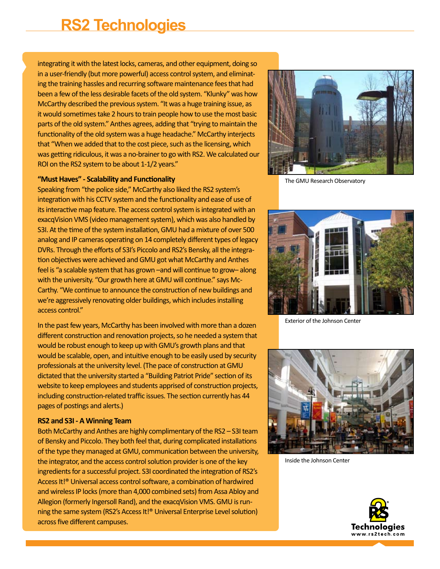## **RS2 Technologies**

integrating it with the latest locks, cameras, and other equipment, doing so in a user-friendly (but more powerful) access control system, and eliminating the training hassles and recurring software maintenance fees that had been a few of the less desirable facets of the old system. "Klunky" was how McCarthy described the previous system. "It was a huge training issue, as it would sometimes take 2 hours to train people how to use the most basic parts of the old system." Anthes agrees, adding that "trying to maintain the functionality of the old system was a huge headache." McCarthy interjects that "When we added that to the cost piece, such as the licensing, which was getting ridiculous, it was a no-brainer to go with RS2. We calculated our ROI on the RS2 system to be about 1-1/2 years."



Speaking from "the police side," McCarthy also liked the RS2 system's integration with his CCTV system and the functionality and ease of use of its interactive map feature. The access control system is integrated with an exacqVision VMS (video management system), which was also handled by S3I. At the time of the system installation, GMU had a mixture of over 500 analog and IP cameras operating on 14 completely different types of legacy DVRs. Through the efforts of S3I's Piccolo and RS2's Bensky, all the integration objectives were achieved and GMU got what McCarthy and Anthes feel is "a scalable system that has grown –and will continue to grow– along with the university. "Our growth here at GMU will continue." says Mc-Carthy. "We continue to announce the construction of new buildings and we're aggressively renovating older buildings, which includes installing access control."

In the past few years, McCarthy has been involved with more than a dozen different construction and renovation projects, so he needed a system that would be robust enough to keep up with GMU's growth plans and that would be scalable, open, and intuitive enough to be easily used by security professionals at the university level. (The pace of construction at GMU dictated that the university started a "Building Patriot Pride" section of its website to keep employees and students apprised of construction projects, including construction-related traffic issues. The section currently has 44 pages of postings and alerts.)

#### **RS2 and S3I - A Winning Team**

Both McCarthy and Anthes are highly complimentary of the RS2 – S3I team of Bensky and Piccolo. They both feel that, during complicated installations of the type they managed at GMU, communication between the university, the integrator, and the access control solution provider is one of the key ingredients for a successful project. S3I coordinated the integration of RS2's Access It!® Universal access control software, a combination of hardwired and wireless IP locks (more than 4,000 combined sets) from Assa Abloy and Allegion (formerly Ingersoll Rand), and the exacqVision VMS. GMU is running the same system (RS2's Access It!® Universal Enterprise Level solution) across five different campuses.



The GMU Research Observatory



Exterior of the Johnson Center



Inside the Johnson Center